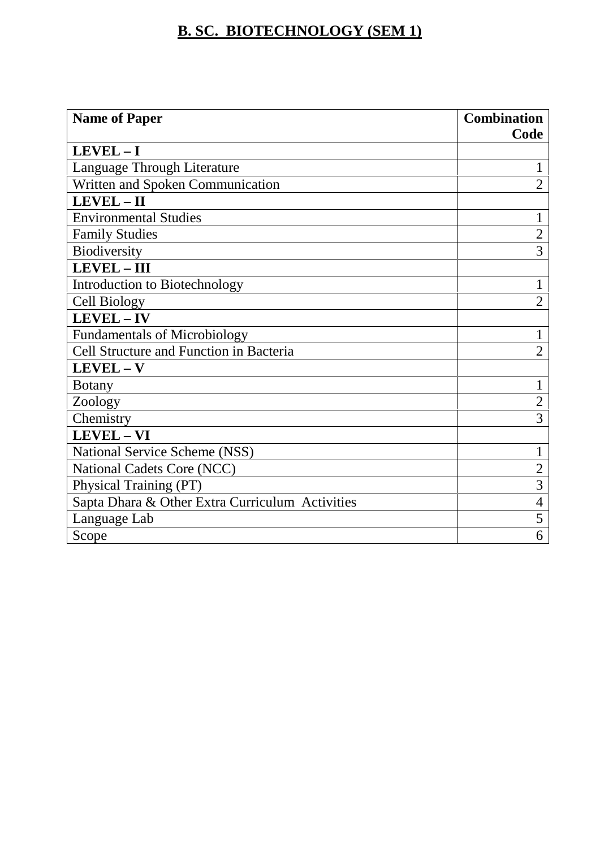# **B. SC. BIOTECHNOLOGY (SEM 1)**

| <b>Name of Paper</b>                            | <b>Combination</b> |
|-------------------------------------------------|--------------------|
|                                                 | Code               |
| $LEVEL - I$                                     |                    |
| Language Through Literature                     |                    |
| Written and Spoken Communication                | $\overline{2}$     |
| $LEVEL - II$                                    |                    |
| <b>Environmental Studies</b>                    | 1                  |
| <b>Family Studies</b>                           | $\overline{2}$     |
| Biodiversity                                    | 3                  |
| LEVEL - III                                     |                    |
| Introduction to Biotechnology                   |                    |
| <b>Cell Biology</b>                             | $\overline{2}$     |
| LEVEL-IV                                        |                    |
| <b>Fundamentals of Microbiology</b>             | 1                  |
| Cell Structure and Function in Bacteria         | $\overline{2}$     |
| $LEVEL - V$                                     |                    |
| <b>Botany</b>                                   | 1                  |
| Zoology                                         | $\overline{2}$     |
| Chemistry                                       | 3                  |
| LEVEL - VI                                      |                    |
| National Service Scheme (NSS)                   | 1                  |
| National Cadets Core (NCC)                      | $\overline{2}$     |
| Physical Training (PT)                          | $\overline{3}$     |
| Sapta Dhara & Other Extra Curriculum Activities | 4                  |
| Language Lab                                    | 5                  |
| Scope                                           | 6                  |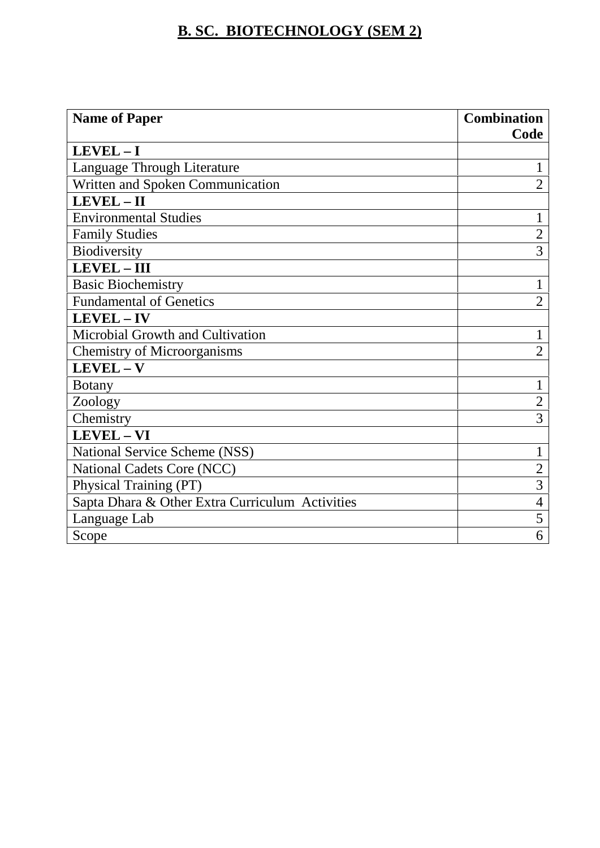## **B. SC. BIOTECHNOLOGY (SEM 2)**

| <b>Name of Paper</b>                            | <b>Combination</b> |  |
|-------------------------------------------------|--------------------|--|
|                                                 | Code               |  |
| $LEVEL - I$                                     |                    |  |
| Language Through Literature                     |                    |  |
| Written and Spoken Communication                | $\overline{2}$     |  |
| LEVEL-II                                        |                    |  |
| <b>Environmental Studies</b>                    | 1                  |  |
| <b>Family Studies</b>                           | $\overline{2}$     |  |
| Biodiversity                                    | $\overline{3}$     |  |
| LEVEL - III                                     |                    |  |
| <b>Basic Biochemistry</b>                       |                    |  |
| <b>Fundamental of Genetics</b>                  | $\overline{2}$     |  |
| LEVEL-IV                                        |                    |  |
| Microbial Growth and Cultivation                |                    |  |
| <b>Chemistry of Microorganisms</b>              | $\overline{2}$     |  |
| $LEVEL - V$                                     |                    |  |
| <b>Botany</b>                                   | 1                  |  |
| Zoology                                         | $\overline{2}$     |  |
| Chemistry                                       | 3                  |  |
| LEVEL - VI                                      |                    |  |
| National Service Scheme (NSS)                   | 1                  |  |
| National Cadets Core (NCC)                      | $\overline{2}$     |  |
| Physical Training (PT)                          | $\overline{3}$     |  |
| Sapta Dhara & Other Extra Curriculum Activities | 4                  |  |
| Language Lab                                    | 5                  |  |
| Scope                                           | 6                  |  |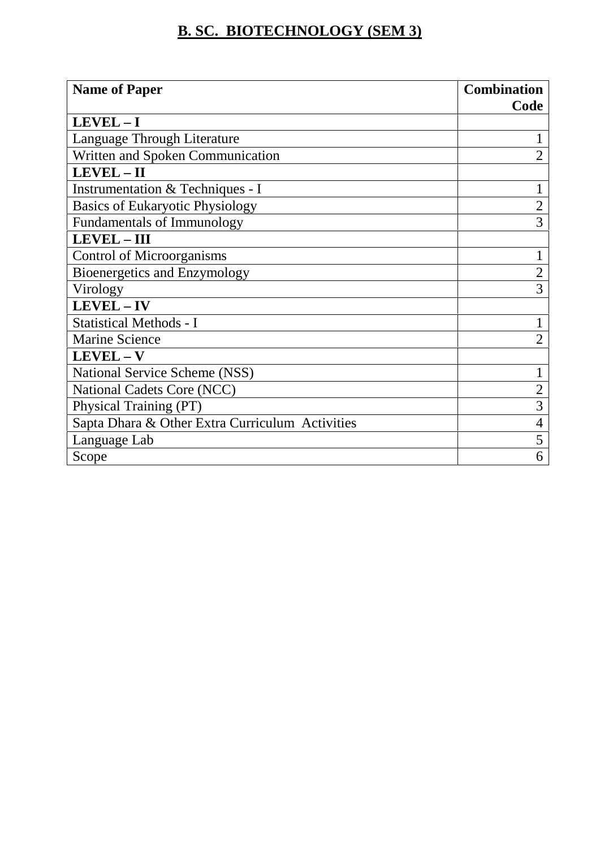## **B. SC. BIOTECHNOLOGY (SEM 3)**

| <b>Name of Paper</b>                            | <b>Combination</b> |  |
|-------------------------------------------------|--------------------|--|
|                                                 | Code               |  |
| $LEVEL - I$                                     |                    |  |
| Language Through Literature                     |                    |  |
| Written and Spoken Communication                | $\overline{2}$     |  |
| LEVEL-II                                        |                    |  |
| Instrumentation & Techniques - I                |                    |  |
| <b>Basics of Eukaryotic Physiology</b>          | $\overline{2}$     |  |
| <b>Fundamentals of Immunology</b>               | 3                  |  |
| <b>LEVEL-III</b>                                |                    |  |
| <b>Control of Microorganisms</b>                |                    |  |
| Bioenergetics and Enzymology                    | $\overline{2}$     |  |
| Virology                                        | 3                  |  |
| LEVEL-IV                                        |                    |  |
| <b>Statistical Methods - I</b>                  |                    |  |
| <b>Marine Science</b>                           | $\overline{2}$     |  |
| $LEVEL - V$                                     |                    |  |
| National Service Scheme (NSS)                   |                    |  |
| National Cadets Core (NCC)                      | $\overline{2}$     |  |
| Physical Training (PT)                          | $\overline{3}$     |  |
| Sapta Dhara & Other Extra Curriculum Activities | 4                  |  |
| Language Lab                                    | 5                  |  |
| Scope                                           | 6                  |  |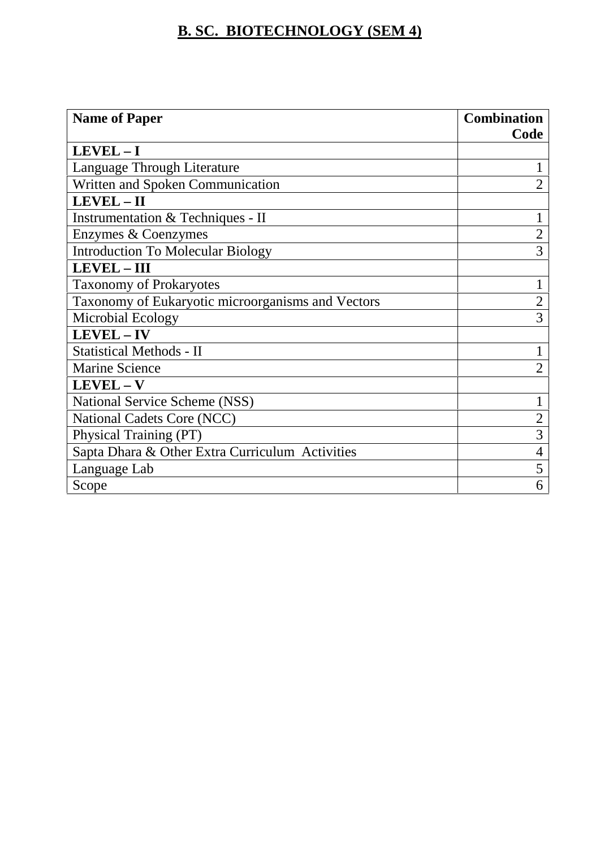## **B. SC. BIOTECHNOLOGY (SEM 4)**

| <b>Name of Paper</b>                              | <b>Combination</b> |  |
|---------------------------------------------------|--------------------|--|
|                                                   | Code               |  |
| $LEVEL - I$                                       |                    |  |
| Language Through Literature                       |                    |  |
| Written and Spoken Communication                  | $\overline{2}$     |  |
| LEVEL-II                                          |                    |  |
| Instrumentation & Techniques - II                 |                    |  |
| Enzymes & Coenzymes                               | $\overline{2}$     |  |
| <b>Introduction To Molecular Biology</b>          | 3                  |  |
| LEVEL - III                                       |                    |  |
| <b>Taxonomy of Prokaryotes</b>                    |                    |  |
| Taxonomy of Eukaryotic microorganisms and Vectors | $\overline{2}$     |  |
| Microbial Ecology                                 | 3                  |  |
| LEVEL-IV                                          |                    |  |
| <b>Statistical Methods - II</b>                   |                    |  |
| <b>Marine Science</b>                             | $\overline{2}$     |  |
| LEVEL - V                                         |                    |  |
| National Service Scheme (NSS)                     | 1                  |  |
| National Cadets Core (NCC)                        | $\overline{2}$     |  |
| Physical Training (PT)                            | 3                  |  |
| Sapta Dhara & Other Extra Curriculum Activities   | 4                  |  |
| Language Lab                                      | 5                  |  |
| Scope                                             | 6                  |  |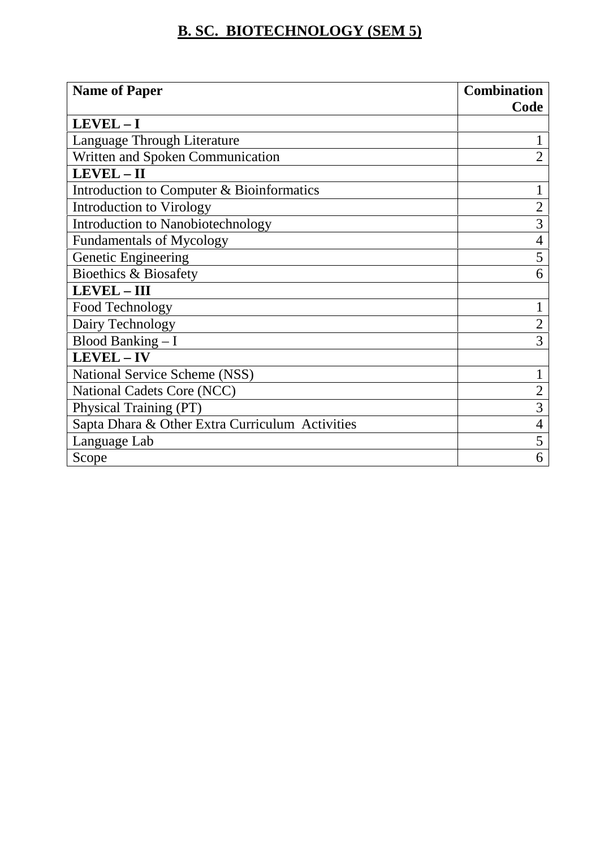## **B. SC. BIOTECHNOLOGY (SEM 5)**

| <b>Name of Paper</b>                            | <b>Combination</b> |  |
|-------------------------------------------------|--------------------|--|
|                                                 | Code               |  |
| $LEVEL - I$                                     |                    |  |
| Language Through Literature                     |                    |  |
| Written and Spoken Communication                | $\overline{2}$     |  |
| LEVEL - II                                      |                    |  |
| Introduction to Computer & Bioinformatics       |                    |  |
| Introduction to Virology                        | $\overline{2}$     |  |
| Introduction to Nanobiotechnology               | 3                  |  |
| <b>Fundamentals of Mycology</b>                 | 4                  |  |
| Genetic Engineering                             | 5                  |  |
| <b>Bioethics &amp; Biosafety</b>                | 6                  |  |
| <b>LEVEL-III</b>                                |                    |  |
| Food Technology                                 | $\mathbf 1$        |  |
| Dairy Technology                                | $\overline{2}$     |  |
| Blood Banking $-I$                              | 3                  |  |
| LEVEL - IV                                      |                    |  |
| <b>National Service Scheme (NSS)</b>            |                    |  |
| National Cadets Core (NCC)                      | $\overline{2}$     |  |
| Physical Training (PT)                          | 3                  |  |
| Sapta Dhara & Other Extra Curriculum Activities | 4                  |  |
| Language Lab                                    | 5                  |  |
| Scope                                           | 6                  |  |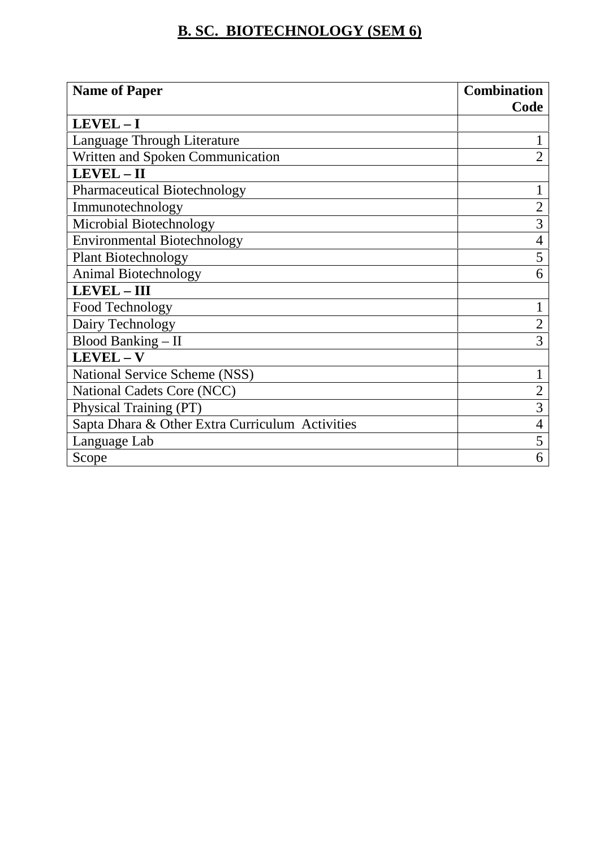## **B. SC. BIOTECHNOLOGY (SEM 6)**

| <b>Name of Paper</b>                            | <b>Combination</b> |  |
|-------------------------------------------------|--------------------|--|
|                                                 | Code               |  |
| $LEVEL - I$                                     |                    |  |
| Language Through Literature                     |                    |  |
| Written and Spoken Communication                | $\overline{2}$     |  |
| LEVEL-II                                        |                    |  |
| <b>Pharmaceutical Biotechnology</b>             |                    |  |
| Immunotechnology                                | $\overline{2}$     |  |
| Microbial Biotechnology                         | 3                  |  |
| <b>Environmental Biotechnology</b>              | 4                  |  |
| <b>Plant Biotechnology</b>                      | 5                  |  |
| Animal Biotechnology                            | 6                  |  |
| <b>LEVEL-III</b>                                |                    |  |
| Food Technology                                 |                    |  |
| Dairy Technology                                | $\overline{2}$     |  |
| Blood Banking - II                              | 3                  |  |
| $LEVEL - V$                                     |                    |  |
| National Service Scheme (NSS)                   |                    |  |
| National Cadets Core (NCC)                      | $\overline{2}$     |  |
| Physical Training (PT)                          | 3                  |  |
| Sapta Dhara & Other Extra Curriculum Activities | 4                  |  |
| Language Lab                                    | 5                  |  |
| Scope                                           | 6                  |  |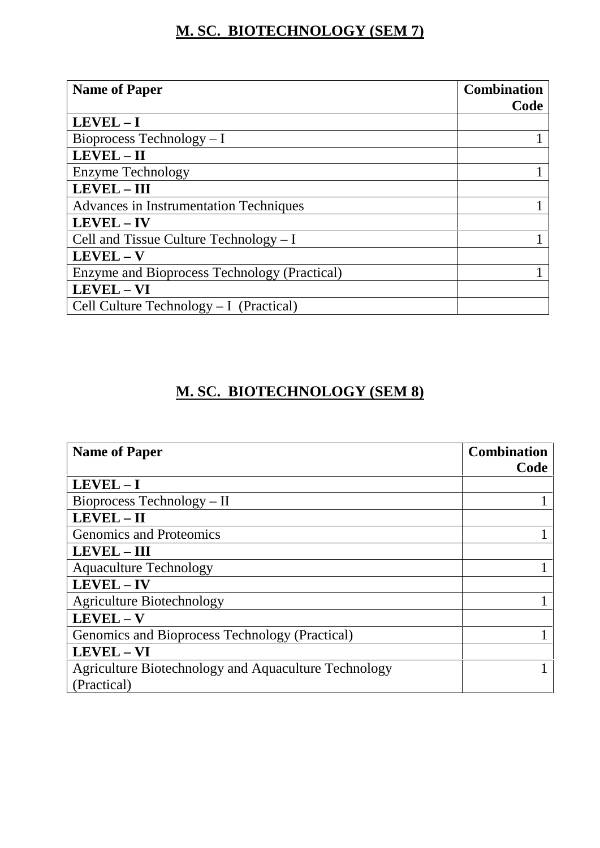## **M. SC. BIOTECHNOLOGY (SEM 7)**

| <b>Name of Paper</b>                          | <b>Combination</b><br>Code |
|-----------------------------------------------|----------------------------|
| $LEVEL - I$                                   |                            |
|                                               |                            |
| Bioprocess Technology $-I$                    |                            |
| LEVEL - II                                    |                            |
| Enzyme Technology                             |                            |
| LEVEL - III                                   |                            |
| <b>Advances in Instrumentation Techniques</b> |                            |
| LEVEL-IV                                      |                            |
| Cell and Tissue Culture Technology $-I$       |                            |
| $LEVEL - V$                                   |                            |
| Enzyme and Bioprocess Technology (Practical)  |                            |
| LEVEL - VI                                    |                            |
| Cell Culture Technology $-I$ (Practical)      |                            |

## **M. SC. BIOTECHNOLOGY (SEM 8)**

| <b>Name of Paper</b>                                 | <b>Combination</b><br>Code |
|------------------------------------------------------|----------------------------|
| $LEVEL - I$                                          |                            |
| Bioprocess Technology – II                           |                            |
| LEVEL-II                                             |                            |
| <b>Genomics and Proteomics</b>                       |                            |
| <b>LEVEL - III</b>                                   |                            |
| <b>Aquaculture Technology</b>                        |                            |
| LEVEL-IV                                             |                            |
| <b>Agriculture Biotechnology</b>                     |                            |
| LEVEL-V                                              |                            |
| Genomics and Bioprocess Technology (Practical)       |                            |
| LEVEL - VI                                           |                            |
| Agriculture Biotechnology and Aquaculture Technology |                            |
| (Practical)                                          |                            |